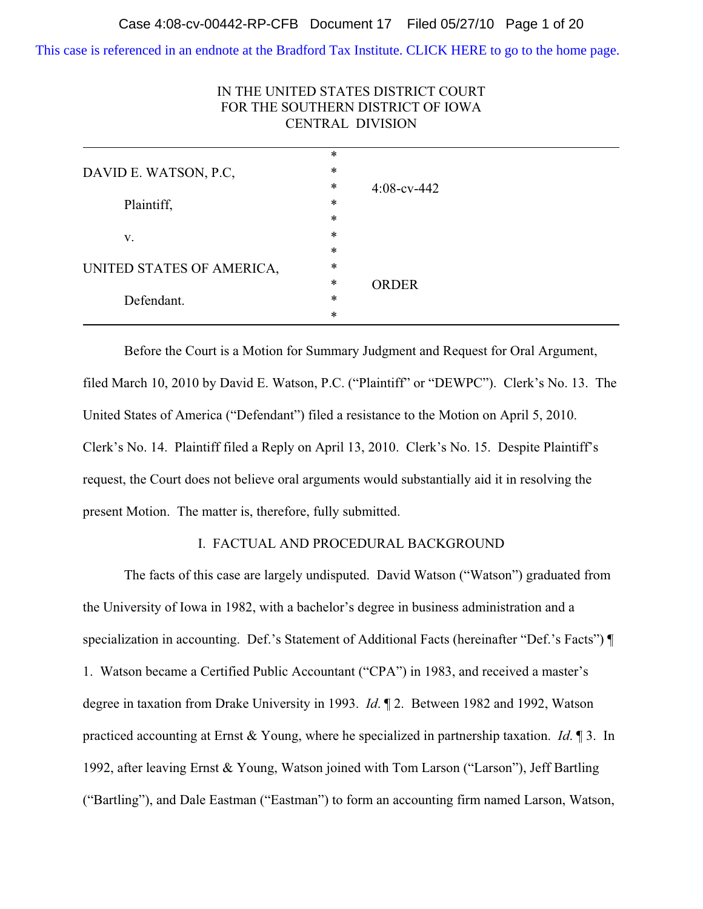[This case is referenced in an endnote at the Bradford Tax Institute. CLICK HERE to go to the home page.](http://bradfordtaxinstitute.com/)

| FOR THE SOUTHERN DISTRICT OF IOWA<br><b>CENTRAL DIVISION</b> |        |                |  |
|--------------------------------------------------------------|--------|----------------|--|
|                                                              | $\ast$ |                |  |
| DAVID E. WATSON, P.C.<br>Plaintiff,                          | ∗      | $4:08$ -cv-442 |  |
|                                                              | *      |                |  |
|                                                              | *      |                |  |
|                                                              | $\ast$ |                |  |
| V.                                                           | $\ast$ |                |  |
|                                                              | $\ast$ |                |  |
| UNITED STATES OF AMERICA,<br>Defendant.                      | ∗      | <b>ORDER</b>   |  |
|                                                              | $\ast$ |                |  |
|                                                              | $\ast$ |                |  |
|                                                              | *      |                |  |

# IN THE UNITED STATES DISTRICT COURT

Before the Court is a Motion for Summary Judgment and Request for Oral Argument, filed March 10, 2010 by David E. Watson, P.C. ("Plaintiff" or "DEWPC"). Clerk's No. 13. The United States of America ("Defendant") filed a resistance to the Motion on April 5, 2010. Clerk's No. 14. Plaintiff filed a Reply on April 13, 2010. Clerk's No. 15. Despite Plaintiff's request, the Court does not believe oral arguments would substantially aid it in resolving the present Motion. The matter is, therefore, fully submitted.

# I. FACTUAL AND PROCEDURAL BACKGROUND

The facts of this case are largely undisputed. David Watson ("Watson") graduated from the University of Iowa in 1982, with a bachelor's degree in business administration and a specialization in accounting. Def.'s Statement of Additional Facts (hereinafter "Def.'s Facts") ¶ 1. Watson became a Certified Public Accountant ("CPA") in 1983, and received a master's degree in taxation from Drake University in 1993. *Id*. ¶ 2. Between 1982 and 1992, Watson practiced accounting at Ernst & Young, where he specialized in partnership taxation. *Id*. ¶ 3. In 1992, after leaving Ernst & Young, Watson joined with Tom Larson ("Larson"), Jeff Bartling ("Bartling"), and Dale Eastman ("Eastman") to form an accounting firm named Larson, Watson,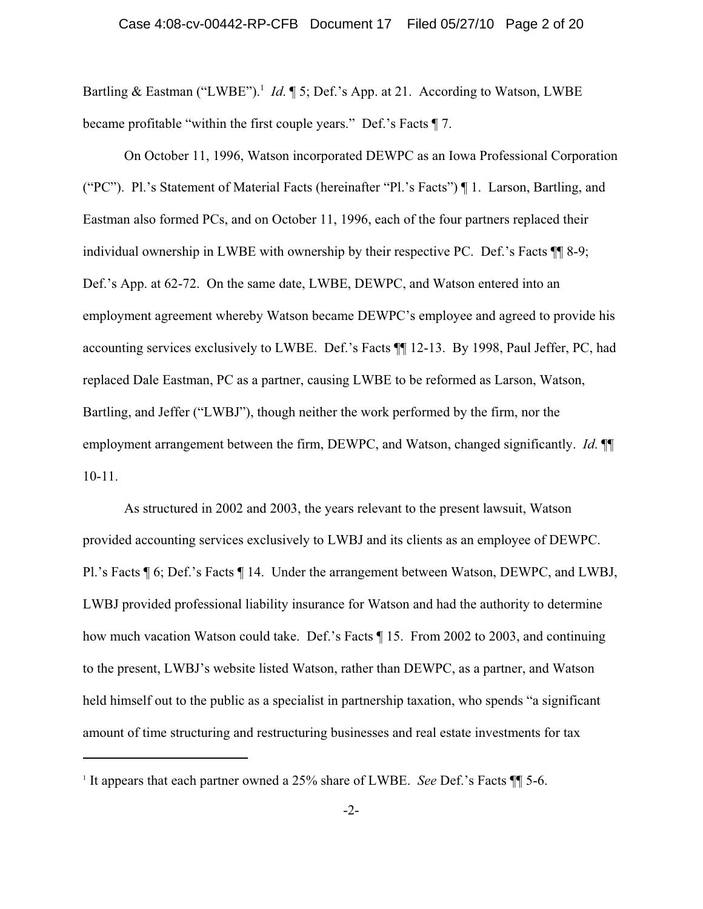Bartling & Eastman ("LWBE").<sup>1</sup> *Id.* 15; Def.'s App. at 21. According to Watson, LWBE became profitable "within the first couple years." Def.'s Facts ¶ 7.

On October 11, 1996, Watson incorporated DEWPC as an Iowa Professional Corporation ("PC"). Pl.'s Statement of Material Facts (hereinafter "Pl.'s Facts") ¶ 1. Larson, Bartling, and Eastman also formed PCs, and on October 11, 1996, each of the four partners replaced their individual ownership in LWBE with ownership by their respective PC. Def.'s Facts ¶¶ 8-9; Def.'s App. at 62-72. On the same date, LWBE, DEWPC, and Watson entered into an employment agreement whereby Watson became DEWPC's employee and agreed to provide his accounting services exclusively to LWBE. Def.'s Facts ¶¶ 12-13. By 1998, Paul Jeffer, PC, had replaced Dale Eastman, PC as a partner, causing LWBE to be reformed as Larson, Watson, Bartling, and Jeffer ("LWBJ"), though neither the work performed by the firm, nor the employment arrangement between the firm, DEWPC, and Watson, changed significantly. *Id*. ¶¶ 10-11.

As structured in 2002 and 2003, the years relevant to the present lawsuit, Watson provided accounting services exclusively to LWBJ and its clients as an employee of DEWPC. Pl.'s Facts ¶ 6; Def.'s Facts ¶ 14. Under the arrangement between Watson, DEWPC, and LWBJ, LWBJ provided professional liability insurance for Watson and had the authority to determine how much vacation Watson could take. Def.'s Facts ¶ 15. From 2002 to 2003, and continuing to the present, LWBJ's website listed Watson, rather than DEWPC, as a partner, and Watson held himself out to the public as a specialist in partnership taxation, who spends "a significant amount of time structuring and restructuring businesses and real estate investments for tax

<sup>&</sup>lt;sup>1</sup> It appears that each partner owned a 25% share of LWBE. *See* Def.'s Facts  $\P$  5-6.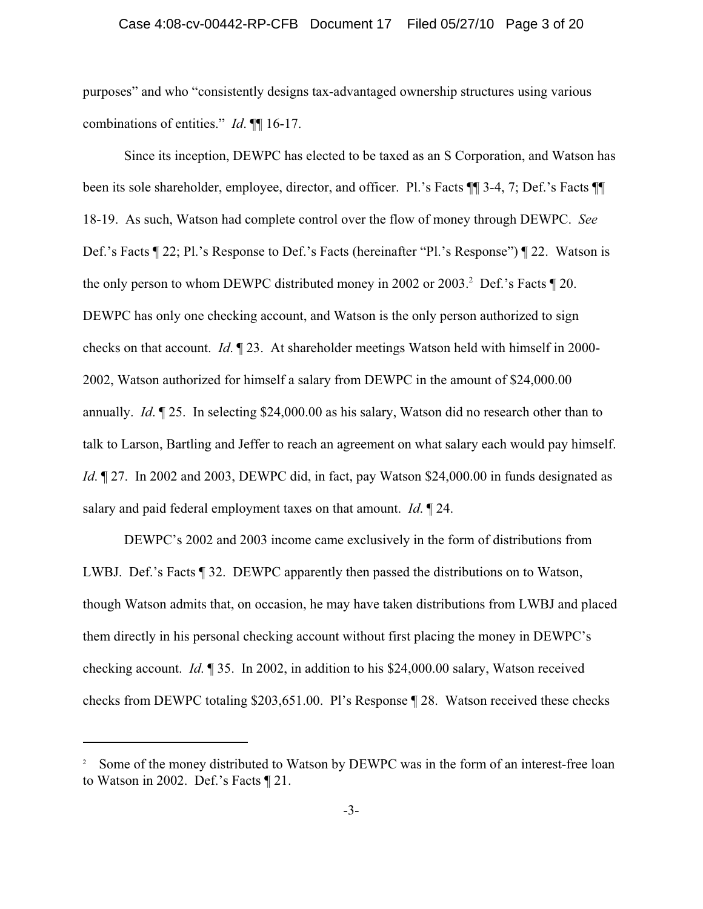#### Case 4:08-cv-00442-RP-CFB Document 17 Filed 05/27/10 Page 3 of 20

purposes" and who "consistently designs tax-advantaged ownership structures using various combinations of entities." *Id*. ¶¶ 16-17.

Since its inception, DEWPC has elected to be taxed as an S Corporation, and Watson has been its sole shareholder, employee, director, and officer. Pl.'s Facts ¶¶ 3-4, 7; Def.'s Facts ¶¶ 18-19. As such, Watson had complete control over the flow of money through DEWPC. *See* Def.'s Facts ¶ 22; Pl.'s Response to Def.'s Facts (hereinafter "Pl.'s Response") ¶ 22. Watson is the only person to whom DEWPC distributed money in 2002 or 2003.<sup>2</sup> Def.'s Facts  $\llbracket 20$ . DEWPC has only one checking account, and Watson is the only person authorized to sign checks on that account. *Id*. ¶ 23. At shareholder meetings Watson held with himself in 2000- 2002, Watson authorized for himself a salary from DEWPC in the amount of \$24,000.00 annually. *Id*. ¶ 25. In selecting \$24,000.00 as his salary, Watson did no research other than to talk to Larson, Bartling and Jeffer to reach an agreement on what salary each would pay himself. *Id*.  $\parallel$  27. In 2002 and 2003, DEWPC did, in fact, pay Watson \$24,000.00 in funds designated as salary and paid federal employment taxes on that amount. *Id*. ¶ 24.

DEWPC's 2002 and 2003 income came exclusively in the form of distributions from LWBJ. Def.'s Facts ¶ 32. DEWPC apparently then passed the distributions on to Watson, though Watson admits that, on occasion, he may have taken distributions from LWBJ and placed them directly in his personal checking account without first placing the money in DEWPC's checking account. *Id*. ¶ 35. In 2002, in addition to his \$24,000.00 salary, Watson received checks from DEWPC totaling \$203,651.00. Pl's Response ¶ 28. Watson received these checks

<sup>&</sup>lt;sup>2</sup> Some of the money distributed to Watson by DEWPC was in the form of an interest-free loan to Watson in 2002. Def.'s Facts ¶ 21.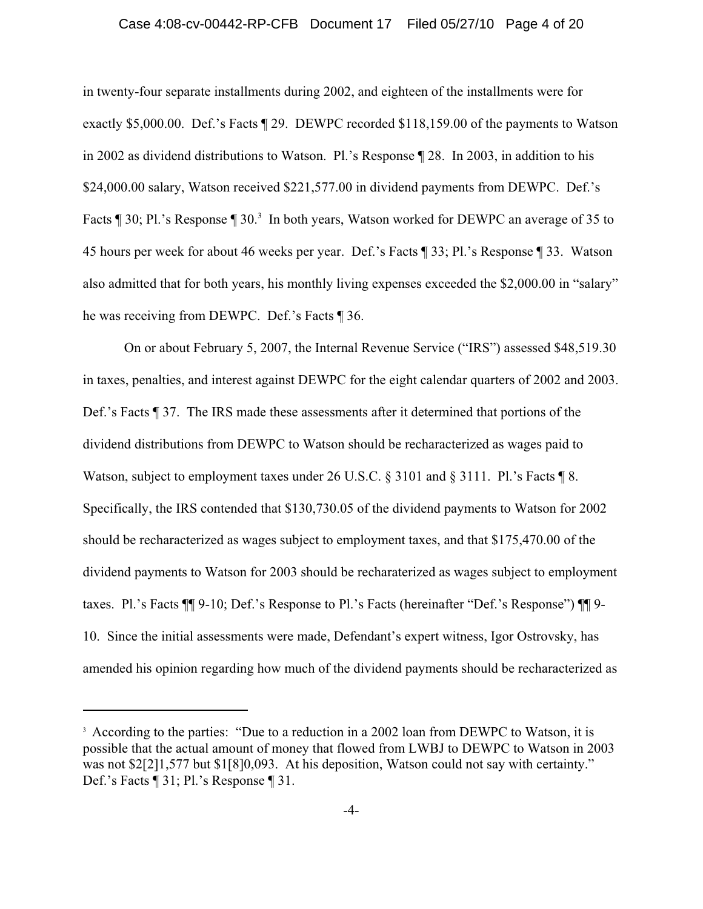#### Case 4:08-cv-00442-RP-CFB Document 17 Filed 05/27/10 Page 4 of 20

in twenty-four separate installments during 2002, and eighteen of the installments were for exactly \$5,000.00. Def.'s Facts ¶ 29. DEWPC recorded \$118,159.00 of the payments to Watson in 2002 as dividend distributions to Watson. Pl.'s Response ¶ 28. In 2003, in addition to his \$24,000.00 salary, Watson received \$221,577.00 in dividend payments from DEWPC. Def.'s Facts ¶ 30; Pl.'s Response ¶ 30.<sup>3</sup> In both years, Watson worked for DEWPC an average of 35 to 45 hours per week for about 46 weeks per year. Def.'s Facts ¶ 33; Pl.'s Response ¶ 33. Watson also admitted that for both years, his monthly living expenses exceeded the \$2,000.00 in "salary" he was receiving from DEWPC. Def.'s Facts ¶ 36.

On or about February 5, 2007, the Internal Revenue Service ("IRS") assessed \$48,519.30 in taxes, penalties, and interest against DEWPC for the eight calendar quarters of 2002 and 2003. Def.'s Facts ¶ 37. The IRS made these assessments after it determined that portions of the dividend distributions from DEWPC to Watson should be recharacterized as wages paid to Watson, subject to employment taxes under 26 U.S.C. § 3101 and § 3111. Pl.'s Facts ¶ 8. Specifically, the IRS contended that \$130,730.05 of the dividend payments to Watson for 2002 should be recharacterized as wages subject to employment taxes, and that \$175,470.00 of the dividend payments to Watson for 2003 should be recharaterized as wages subject to employment taxes. Pl.'s Facts ¶¶ 9-10; Def.'s Response to Pl.'s Facts (hereinafter "Def.'s Response") ¶¶ 9- 10. Since the initial assessments were made, Defendant's expert witness, Igor Ostrovsky, has amended his opinion regarding how much of the dividend payments should be recharacterized as

<sup>&</sup>lt;sup>3</sup> According to the parties: "Due to a reduction in a 2002 loan from DEWPC to Watson, it is possible that the actual amount of money that flowed from LWBJ to DEWPC to Watson in 2003 was not \$2[2]1,577 but \$1[8]0,093. At his deposition, Watson could not say with certainty." Def.'s Facts ¶ 31; Pl.'s Response ¶ 31.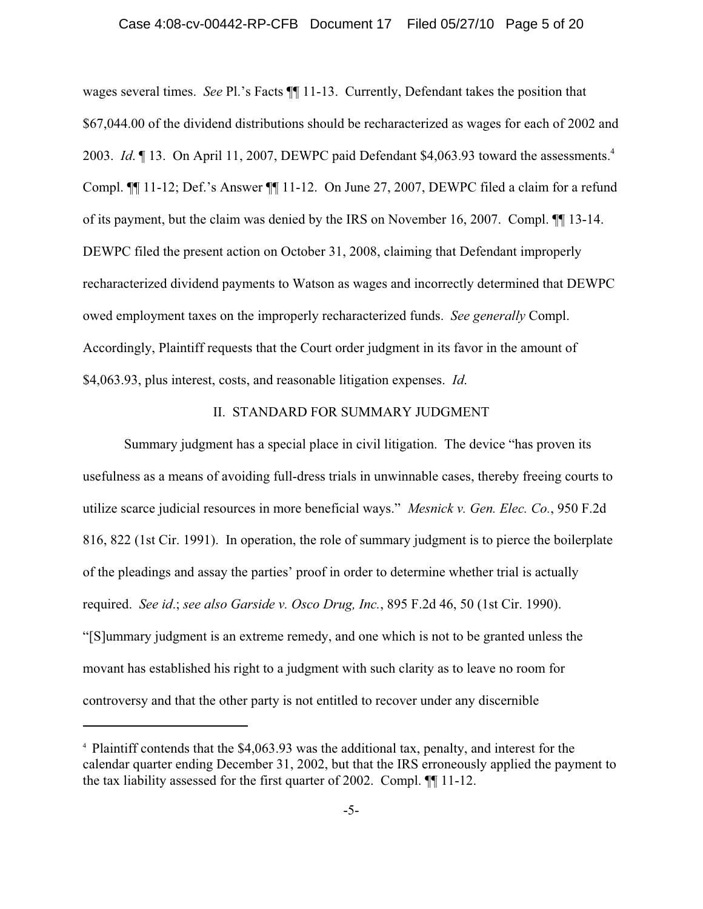#### Case 4:08-cv-00442-RP-CFB Document 17 Filed 05/27/10 Page 5 of 20

wages several times. *See* Pl.'s Facts ¶¶ 11-13. Currently, Defendant takes the position that \$67,044.00 of the dividend distributions should be recharacterized as wages for each of 2002 and 2003. *Id.* 13. On April 11, 2007, DEWPC paid Defendant \$4,063.93 toward the assessments.<sup>4</sup> Compl. ¶¶ 11-12; Def.'s Answer ¶¶ 11-12. On June 27, 2007, DEWPC filed a claim for a refund of its payment, but the claim was denied by the IRS on November 16, 2007. Compl. ¶¶ 13-14. DEWPC filed the present action on October 31, 2008, claiming that Defendant improperly recharacterized dividend payments to Watson as wages and incorrectly determined that DEWPC owed employment taxes on the improperly recharacterized funds. *See generally* Compl. Accordingly, Plaintiff requests that the Court order judgment in its favor in the amount of \$4,063.93, plus interest, costs, and reasonable litigation expenses. *Id*.

## II. STANDARD FOR SUMMARY JUDGMENT

Summary judgment has a special place in civil litigation. The device "has proven its usefulness as a means of avoiding full-dress trials in unwinnable cases, thereby freeing courts to utilize scarce judicial resources in more beneficial ways." *Mesnick v. Gen. Elec. Co.*, 950 F.2d 816, 822 (1st Cir. 1991). In operation, the role of summary judgment is to pierce the boilerplate of the pleadings and assay the parties' proof in order to determine whether trial is actually required. *See id*.; *see also Garside v. Osco Drug, Inc.*, 895 F.2d 46, 50 (1st Cir. 1990). "[S]ummary judgment is an extreme remedy, and one which is not to be granted unless the movant has established his right to a judgment with such clarity as to leave no room for controversy and that the other party is not entitled to recover under any discernible

<sup>4</sup> Plaintiff contends that the \$4,063.93 was the additional tax, penalty, and interest for the calendar quarter ending December 31, 2002, but that the IRS erroneously applied the payment to the tax liability assessed for the first quarter of 2002. Compl. ¶¶ 11-12.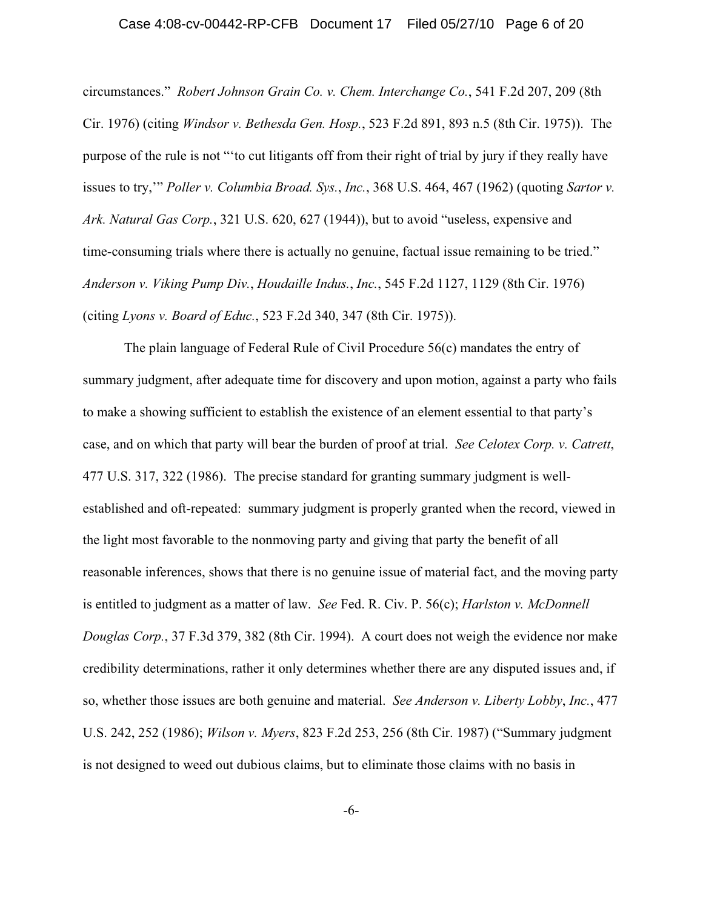#### Case 4:08-cv-00442-RP-CFB Document 17 Filed 05/27/10 Page 6 of 20

circumstances." *Robert Johnson Grain Co. v. Chem. Interchange Co.*, 541 F.2d 207, 209 (8th Cir. 1976) (citing *Windsor v. Bethesda Gen. Hosp.*, 523 F.2d 891, 893 n.5 (8th Cir. 1975)). The purpose of the rule is not "'to cut litigants off from their right of trial by jury if they really have issues to try,'" *Poller v. Columbia Broad. Sys.*, *Inc.*, 368 U.S. 464, 467 (1962) (quoting *Sartor v. Ark. Natural Gas Corp.*, 321 U.S. 620, 627 (1944)), but to avoid "useless, expensive and time-consuming trials where there is actually no genuine, factual issue remaining to be tried." *Anderson v. Viking Pump Div.*, *Houdaille Indus.*, *Inc.*, 545 F.2d 1127, 1129 (8th Cir. 1976) (citing *Lyons v. Board of Educ.*, 523 F.2d 340, 347 (8th Cir. 1975)).

The plain language of Federal Rule of Civil Procedure 56(c) mandates the entry of summary judgment, after adequate time for discovery and upon motion, against a party who fails to make a showing sufficient to establish the existence of an element essential to that party's case, and on which that party will bear the burden of proof at trial. *See Celotex Corp. v. Catrett*, 477 U.S. 317, 322 (1986). The precise standard for granting summary judgment is wellestablished and oft-repeated: summary judgment is properly granted when the record, viewed in the light most favorable to the nonmoving party and giving that party the benefit of all reasonable inferences, shows that there is no genuine issue of material fact, and the moving party is entitled to judgment as a matter of law. *See* Fed. R. Civ. P. 56(c); *Harlston v. McDonnell Douglas Corp.*, 37 F.3d 379, 382 (8th Cir. 1994). A court does not weigh the evidence nor make credibility determinations, rather it only determines whether there are any disputed issues and, if so, whether those issues are both genuine and material. *See Anderson v. Liberty Lobby*, *Inc.*, 477 U.S. 242, 252 (1986); *Wilson v. Myers*, 823 F.2d 253, 256 (8th Cir. 1987) ("Summary judgment is not designed to weed out dubious claims, but to eliminate those claims with no basis in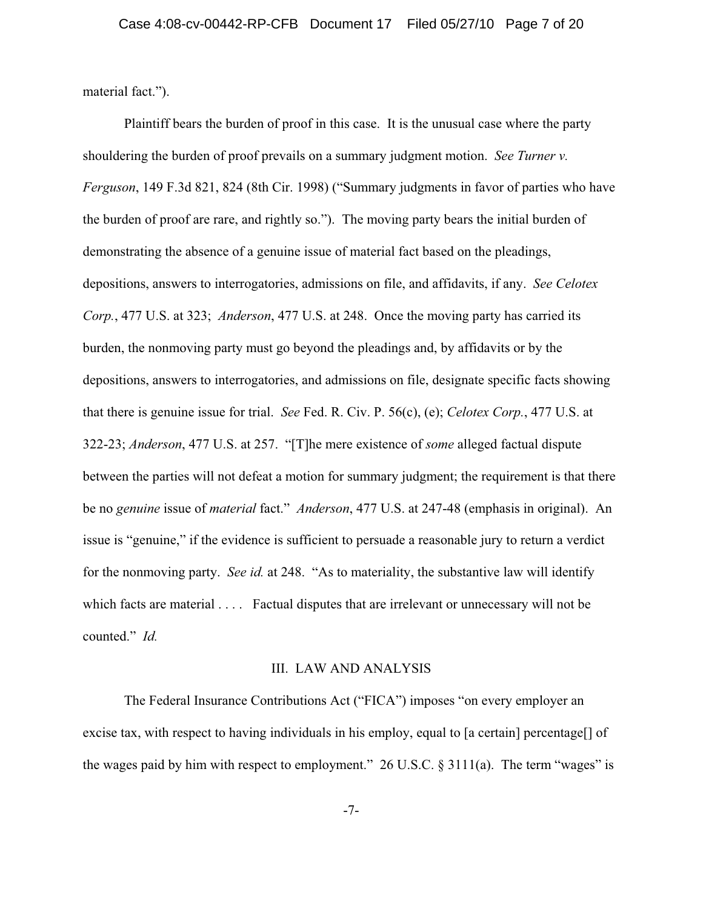material fact.").

Plaintiff bears the burden of proof in this case. It is the unusual case where the party shouldering the burden of proof prevails on a summary judgment motion. *See Turner v. Ferguson*, 149 F.3d 821, 824 (8th Cir. 1998) ("Summary judgments in favor of parties who have the burden of proof are rare, and rightly so."). The moving party bears the initial burden of demonstrating the absence of a genuine issue of material fact based on the pleadings, depositions, answers to interrogatories, admissions on file, and affidavits, if any. *See Celotex Corp.*, 477 U.S. at 323; *Anderson*, 477 U.S. at 248. Once the moving party has carried its burden, the nonmoving party must go beyond the pleadings and, by affidavits or by the depositions, answers to interrogatories, and admissions on file, designate specific facts showing that there is genuine issue for trial. *See* Fed. R. Civ. P. 56(c), (e); *Celotex Corp.*, 477 U.S. at 322-23; *Anderson*, 477 U.S. at 257. "[T]he mere existence of *some* alleged factual dispute between the parties will not defeat a motion for summary judgment; the requirement is that there be no *genuine* issue of *material* fact." *Anderson*, 477 U.S. at 247-48 (emphasis in original). An issue is "genuine," if the evidence is sufficient to persuade a reasonable jury to return a verdict for the nonmoving party. *See id.* at 248. "As to materiality, the substantive law will identify which facts are material . . . . Factual disputes that are irrelevant or unnecessary will not be counted." *Id.*

#### III. LAW AND ANALYSIS

The Federal Insurance Contributions Act ("FICA") imposes "on every employer an excise tax, with respect to having individuals in his employ, equal to [a certain] percentage[] of the wages paid by him with respect to employment." 26 U.S.C.  $\S 3111(a)$ . The term "wages" is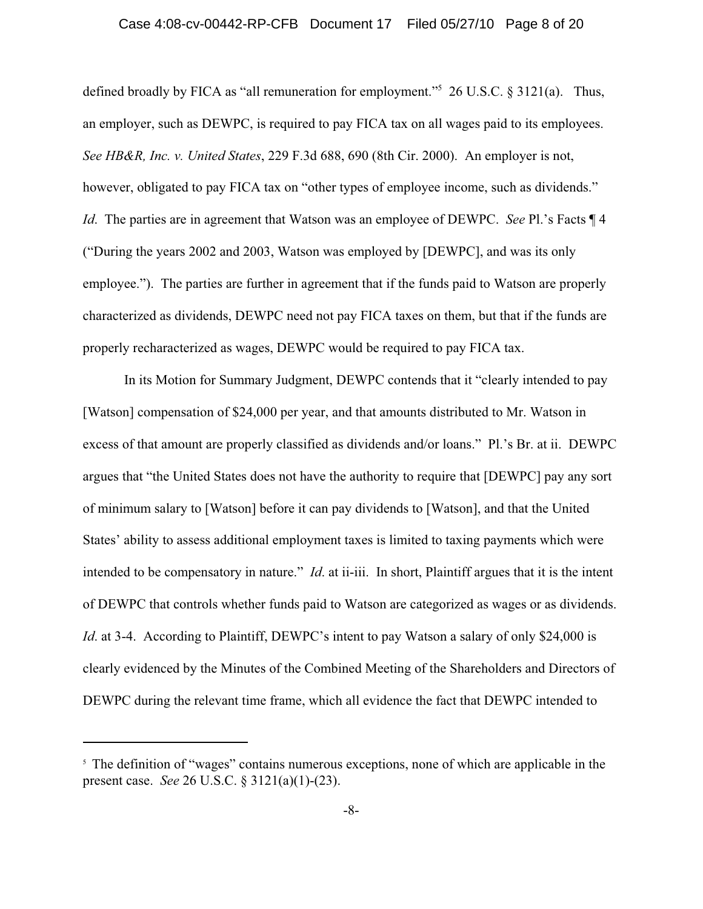#### Case 4:08-cv-00442-RP-CFB Document 17 Filed 05/27/10 Page 8 of 20

defined broadly by FICA as "all remuneration for employment."5 26 U.S.C. § 3121(a). Thus, an employer, such as DEWPC, is required to pay FICA tax on all wages paid to its employees. *See HB&R, Inc. v. United States*, 229 F.3d 688, 690 (8th Cir. 2000). An employer is not, however, obligated to pay FICA tax on "other types of employee income, such as dividends." *Id.* The parties are in agreement that Watson was an employee of DEWPC. *See* Pl.'s Facts  $\P$ 4 ("During the years 2002 and 2003, Watson was employed by [DEWPC], and was its only employee."). The parties are further in agreement that if the funds paid to Watson are properly characterized as dividends, DEWPC need not pay FICA taxes on them, but that if the funds are properly recharacterized as wages, DEWPC would be required to pay FICA tax.

In its Motion for Summary Judgment, DEWPC contends that it "clearly intended to pay [Watson] compensation of \$24,000 per year, and that amounts distributed to Mr. Watson in excess of that amount are properly classified as dividends and/or loans." Pl.'s Br. at ii. DEWPC argues that "the United States does not have the authority to require that [DEWPC] pay any sort of minimum salary to [Watson] before it can pay dividends to [Watson], and that the United States' ability to assess additional employment taxes is limited to taxing payments which were intended to be compensatory in nature." *Id*. at ii-iii. In short, Plaintiff argues that it is the intent of DEWPC that controls whether funds paid to Watson are categorized as wages or as dividends. *Id.* at 3-4. According to Plaintiff, DEWPC's intent to pay Watson a salary of only \$24,000 is clearly evidenced by the Minutes of the Combined Meeting of the Shareholders and Directors of DEWPC during the relevant time frame, which all evidence the fact that DEWPC intended to

<sup>&</sup>lt;sup>5</sup> The definition of "wages" contains numerous exceptions, none of which are applicable in the present case. *See* 26 U.S.C. § 3121(a)(1)-(23).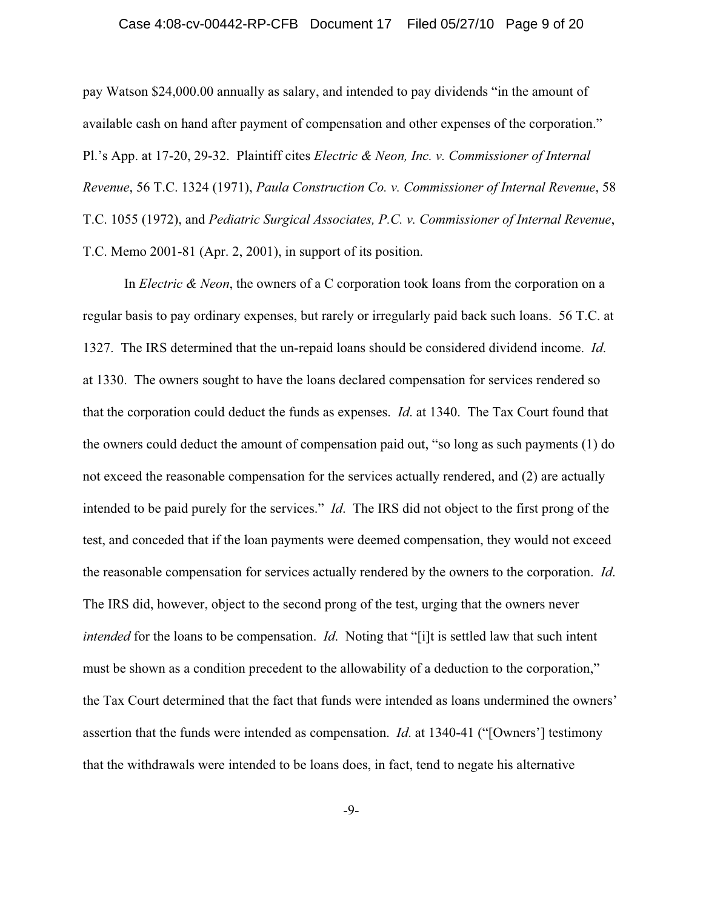#### Case 4:08-cv-00442-RP-CFB Document 17 Filed 05/27/10 Page 9 of 20

pay Watson \$24,000.00 annually as salary, and intended to pay dividends "in the amount of available cash on hand after payment of compensation and other expenses of the corporation." Pl.'s App. at 17-20, 29-32. Plaintiff cites *Electric & Neon, Inc. v. Commissioner of Internal Revenue*, 56 T.C. 1324 (1971), *Paula Construction Co. v. Commissioner of Internal Revenue*, 58 T.C. 1055 (1972), and *Pediatric Surgical Associates, P.C. v. Commissioner of Internal Revenue*, T.C. Memo 2001-81 (Apr. 2, 2001), in support of its position.

In *Electric & Neon*, the owners of a C corporation took loans from the corporation on a regular basis to pay ordinary expenses, but rarely or irregularly paid back such loans. 56 T.C. at 1327. The IRS determined that the un-repaid loans should be considered dividend income. *Id*. at 1330. The owners sought to have the loans declared compensation for services rendered so that the corporation could deduct the funds as expenses. *Id*. at 1340. The Tax Court found that the owners could deduct the amount of compensation paid out, "so long as such payments (1) do not exceed the reasonable compensation for the services actually rendered, and (2) are actually intended to be paid purely for the services." *Id*. The IRS did not object to the first prong of the test, and conceded that if the loan payments were deemed compensation, they would not exceed the reasonable compensation for services actually rendered by the owners to the corporation. *Id*. The IRS did, however, object to the second prong of the test, urging that the owners never *intended* for the loans to be compensation. *Id*. Noting that "[i]t is settled law that such intent must be shown as a condition precedent to the allowability of a deduction to the corporation," the Tax Court determined that the fact that funds were intended as loans undermined the owners' assertion that the funds were intended as compensation. *Id*. at 1340-41 ("[Owners'] testimony that the withdrawals were intended to be loans does, in fact, tend to negate his alternative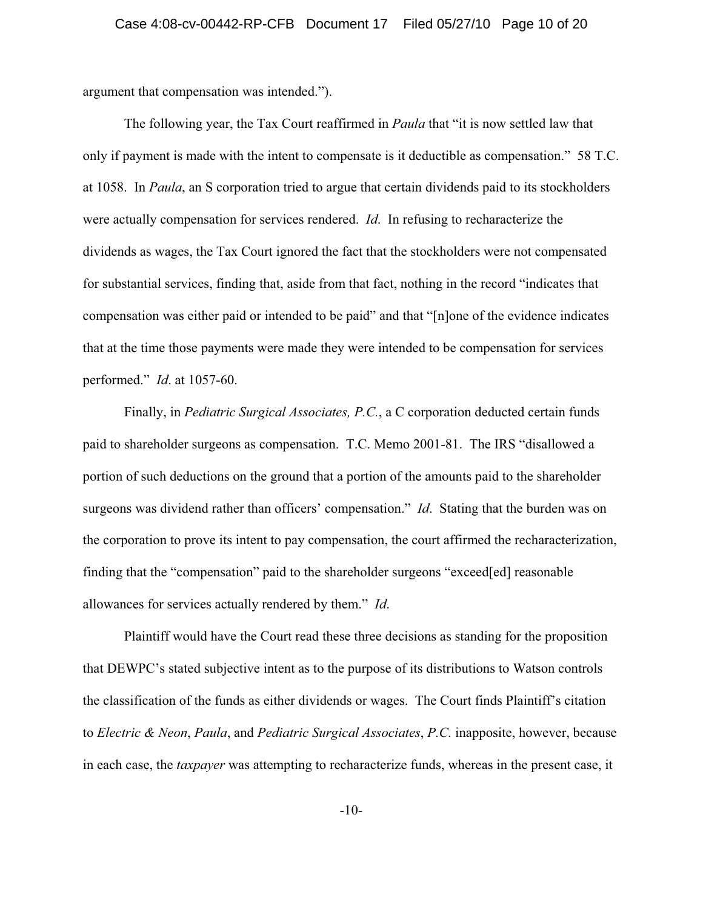argument that compensation was intended.").

The following year, the Tax Court reaffirmed in *Paula* that "it is now settled law that only if payment is made with the intent to compensate is it deductible as compensation." 58 T.C. at 1058. In *Paula*, an S corporation tried to argue that certain dividends paid to its stockholders were actually compensation for services rendered. *Id*. In refusing to recharacterize the dividends as wages, the Tax Court ignored the fact that the stockholders were not compensated for substantial services, finding that, aside from that fact, nothing in the record "indicates that compensation was either paid or intended to be paid" and that "[n]one of the evidence indicates that at the time those payments were made they were intended to be compensation for services performed." *Id*. at 1057-60.

Finally, in *Pediatric Surgical Associates, P.C.*, a C corporation deducted certain funds paid to shareholder surgeons as compensation. T.C. Memo 2001-81. The IRS "disallowed a portion of such deductions on the ground that a portion of the amounts paid to the shareholder surgeons was dividend rather than officers' compensation." *Id*. Stating that the burden was on the corporation to prove its intent to pay compensation, the court affirmed the recharacterization, finding that the "compensation" paid to the shareholder surgeons "exceed[ed] reasonable allowances for services actually rendered by them." *Id*.

Plaintiff would have the Court read these three decisions as standing for the proposition that DEWPC's stated subjective intent as to the purpose of its distributions to Watson controls the classification of the funds as either dividends or wages. The Court finds Plaintiff's citation to *Electric & Neon*, *Paula*, and *Pediatric Surgical Associates*, *P.C.* inapposite, however, because in each case, the *taxpayer* was attempting to recharacterize funds, whereas in the present case, it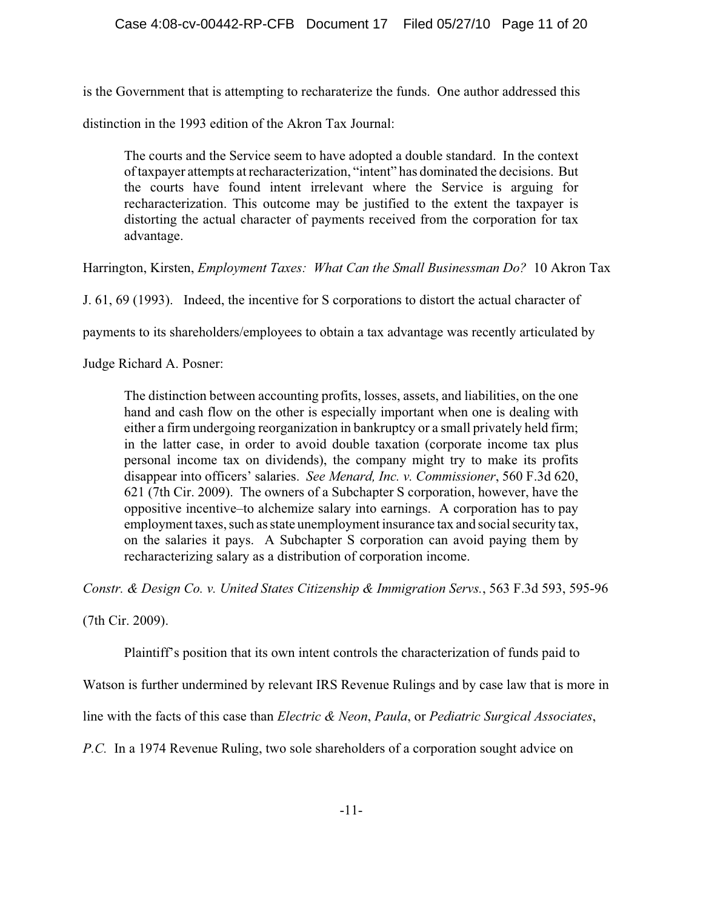is the Government that is attempting to recharaterize the funds. One author addressed this

distinction in the 1993 edition of the Akron Tax Journal:

The courts and the Service seem to have adopted a double standard. In the context of taxpayer attempts at recharacterization, "intent" has dominated the decisions. But the courts have found intent irrelevant where the Service is arguing for recharacterization. This outcome may be justified to the extent the taxpayer is distorting the actual character of payments received from the corporation for tax advantage.

Harrington, Kirsten, *Employment Taxes: What Can the Small Businessman Do?* 10 Akron Tax

J. 61, 69 (1993). Indeed, the incentive for S corporations to distort the actual character of

payments to its shareholders/employees to obtain a tax advantage was recently articulated by

Judge Richard A. Posner:

The distinction between accounting profits, losses, assets, and liabilities, on the one hand and cash flow on the other is especially important when one is dealing with either a firm undergoing reorganization in bankruptcy or a small privately held firm; in the latter case, in order to avoid double taxation (corporate income tax plus personal income tax on dividends), the company might try to make its profits disappear into officers' salaries. *See Menard, Inc. v. Commissioner*, 560 F.3d 620, 621 (7th Cir. 2009). The owners of a Subchapter S corporation, however, have the oppositive incentive–to alchemize salary into earnings. A corporation has to pay employment taxes, such as state unemployment insurance tax and social security tax, on the salaries it pays. A Subchapter S corporation can avoid paying them by recharacterizing salary as a distribution of corporation income.

*Constr. & Design Co. v. United States Citizenship & Immigration Servs.*, 563 F.3d 593, 595-96

(7th Cir. 2009).

Plaintiff's position that its own intent controls the characterization of funds paid to

Watson is further undermined by relevant IRS Revenue Rulings and by case law that is more in

line with the facts of this case than *Electric & Neon*, *Paula*, or *Pediatric Surgical Associates*,

*P.C.* In a 1974 Revenue Ruling, two sole shareholders of a corporation sought advice on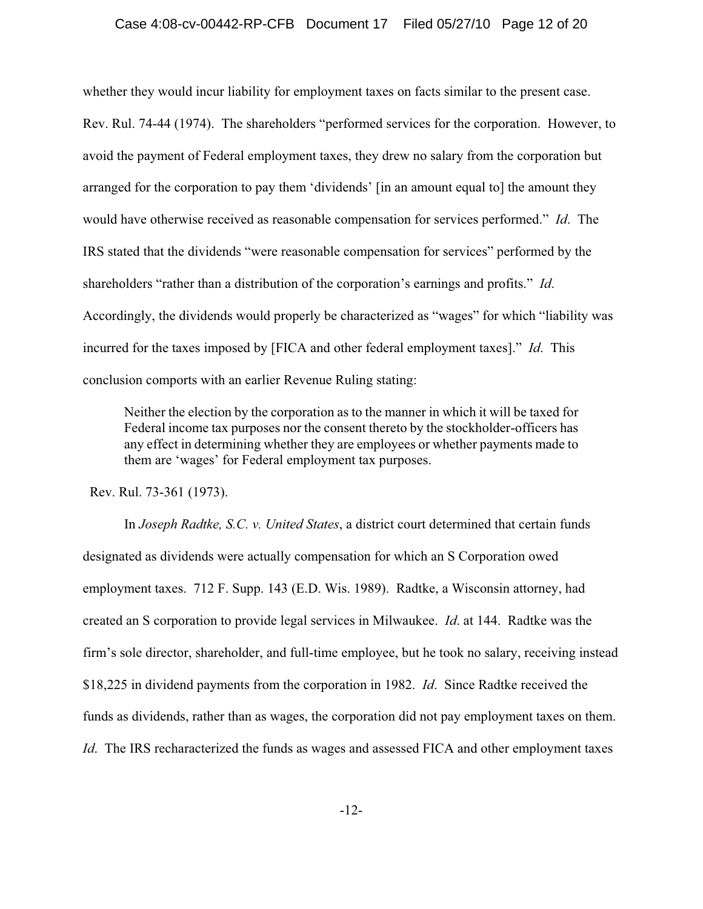## Case 4:08-cv-00442-RP-CFB Document 17 Filed 05/27/10 Page 12 of 20

whether they would incur liability for employment taxes on facts similar to the present case. Rev. Rul. 74-44 (1974). The shareholders "performed services for the corporation. However, to avoid the payment of Federal employment taxes, they drew no salary from the corporation but arranged for the corporation to pay them 'dividends' [in an amount equal to] the amount they would have otherwise received as reasonable compensation for services performed." *Id*. The IRS stated that the dividends "were reasonable compensation for services" performed by the shareholders "rather than a distribution of the corporation's earnings and profits." *Id*. Accordingly, the dividends would properly be characterized as "wages" for which "liability was incurred for the taxes imposed by [FICA and other federal employment taxes]." *Id*. This conclusion comports with an earlier Revenue Ruling stating:

Neither the election by the corporation as to the manner in which it will be taxed for Federal income tax purposes nor the consent thereto by the stockholder-officers has any effect in determining whether they are employees or whether payments made to them are 'wages' for Federal employment tax purposes.

Rev. Rul. 73-361 (1973).

In *Joseph Radtke, S.C. v. United States*, a district court determined that certain funds designated as dividends were actually compensation for which an S Corporation owed employment taxes. 712 F. Supp. 143 (E.D. Wis. 1989). Radtke, a Wisconsin attorney, had created an S corporation to provide legal services in Milwaukee. *Id*. at 144. Radtke was the firm's sole director, shareholder, and full-time employee, but he took no salary, receiving instead \$18,225 in dividend payments from the corporation in 1982. *Id*. Since Radtke received the funds as dividends, rather than as wages, the corporation did not pay employment taxes on them. *Id*. The IRS recharacterized the funds as wages and assessed FICA and other employment taxes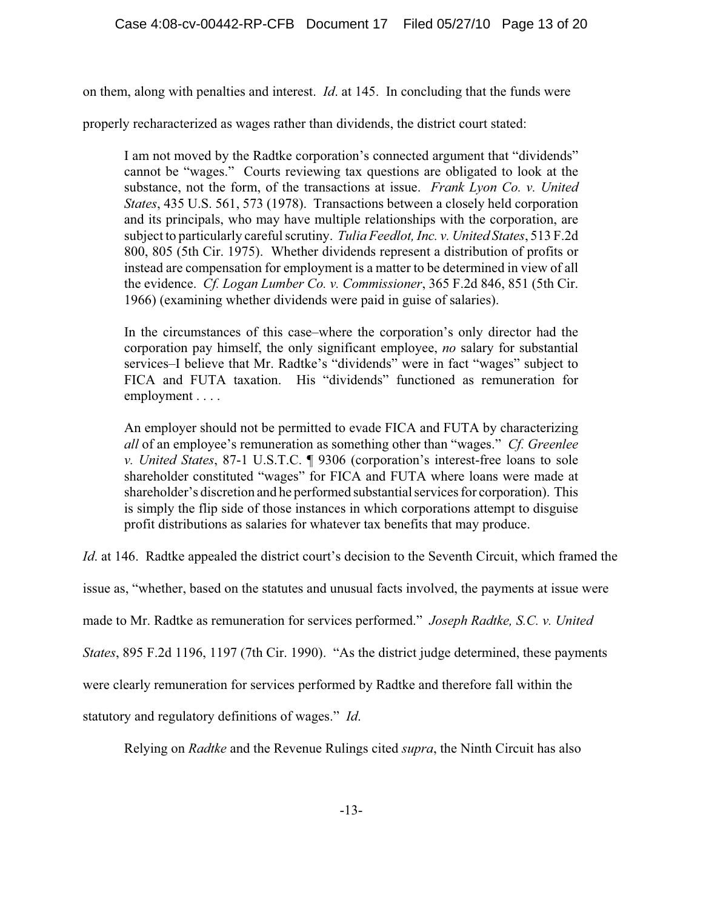on them, along with penalties and interest. *Id*. at 145. In concluding that the funds were

properly recharacterized as wages rather than dividends, the district court stated:

I am not moved by the Radtke corporation's connected argument that "dividends" cannot be "wages." Courts reviewing tax questions are obligated to look at the substance, not the form, of the transactions at issue. *Frank Lyon Co. v. United States*, 435 U.S. 561, 573 (1978). Transactions between a closely held corporation and its principals, who may have multiple relationships with the corporation, are subject to particularly careful scrutiny. *Tulia Feedlot, Inc. v. United States*, 513 F.2d 800, 805 (5th Cir. 1975). Whether dividends represent a distribution of profits or instead are compensation for employment is a matter to be determined in view of all the evidence. *Cf. Logan Lumber Co. v. Commissioner*, 365 F.2d 846, 851 (5th Cir. 1966) (examining whether dividends were paid in guise of salaries).

In the circumstances of this case–where the corporation's only director had the corporation pay himself, the only significant employee, *no* salary for substantial services–I believe that Mr. Radtke's "dividends" were in fact "wages" subject to FICA and FUTA taxation. His "dividends" functioned as remuneration for employment . . . .

An employer should not be permitted to evade FICA and FUTA by characterizing *all* of an employee's remuneration as something other than "wages." *Cf. Greenlee v. United States*, 87-1 U.S.T.C. ¶ 9306 (corporation's interest-free loans to sole shareholder constituted "wages" for FICA and FUTA where loans were made at shareholder's discretion and he performed substantial services for corporation). This is simply the flip side of those instances in which corporations attempt to disguise profit distributions as salaries for whatever tax benefits that may produce.

*Id.* at 146. Radtke appealed the district court's decision to the Seventh Circuit, which framed the

issue as, "whether, based on the statutes and unusual facts involved, the payments at issue were

made to Mr. Radtke as remuneration for services performed." *Joseph Radtke, S.C. v. United*

*States*, 895 F.2d 1196, 1197 (7th Cir. 1990). "As the district judge determined, these payments

were clearly remuneration for services performed by Radtke and therefore fall within the

statutory and regulatory definitions of wages." *Id*.

Relying on *Radtke* and the Revenue Rulings cited *supra*, the Ninth Circuit has also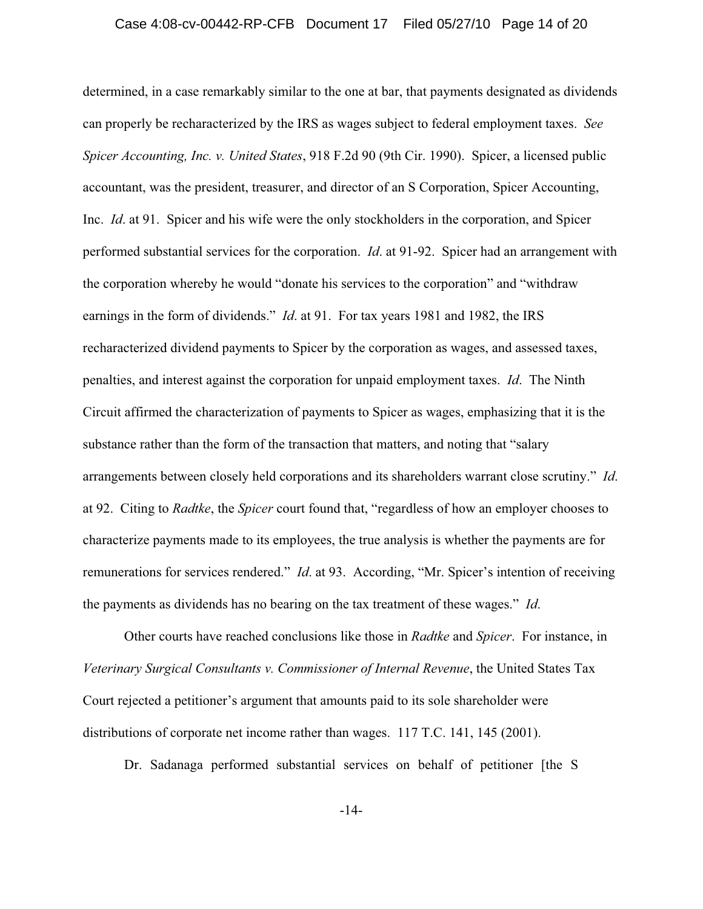#### Case 4:08-cv-00442-RP-CFB Document 17 Filed 05/27/10 Page 14 of 20

determined, in a case remarkably similar to the one at bar, that payments designated as dividends can properly be recharacterized by the IRS as wages subject to federal employment taxes. *See Spicer Accounting, Inc. v. United States*, 918 F.2d 90 (9th Cir. 1990). Spicer, a licensed public accountant, was the president, treasurer, and director of an S Corporation, Spicer Accounting, Inc. *Id*. at 91. Spicer and his wife were the only stockholders in the corporation, and Spicer performed substantial services for the corporation. *Id*. at 91-92. Spicer had an arrangement with the corporation whereby he would "donate his services to the corporation" and "withdraw earnings in the form of dividends." *Id*. at 91. For tax years 1981 and 1982, the IRS recharacterized dividend payments to Spicer by the corporation as wages, and assessed taxes, penalties, and interest against the corporation for unpaid employment taxes. *Id*. The Ninth Circuit affirmed the characterization of payments to Spicer as wages, emphasizing that it is the substance rather than the form of the transaction that matters, and noting that "salary arrangements between closely held corporations and its shareholders warrant close scrutiny." *Id*. at 92. Citing to *Radtke*, the *Spicer* court found that, "regardless of how an employer chooses to characterize payments made to its employees, the true analysis is whether the payments are for remunerations for services rendered." *Id*. at 93. According, "Mr. Spicer's intention of receiving the payments as dividends has no bearing on the tax treatment of these wages." *Id*.

Other courts have reached conclusions like those in *Radtke* and *Spicer*. For instance, in *Veterinary Surgical Consultants v. Commissioner of Internal Revenue*, the United States Tax Court rejected a petitioner's argument that amounts paid to its sole shareholder were distributions of corporate net income rather than wages. 117 T.C. 141, 145 (2001).

Dr. Sadanaga performed substantial services on behalf of petitioner [the S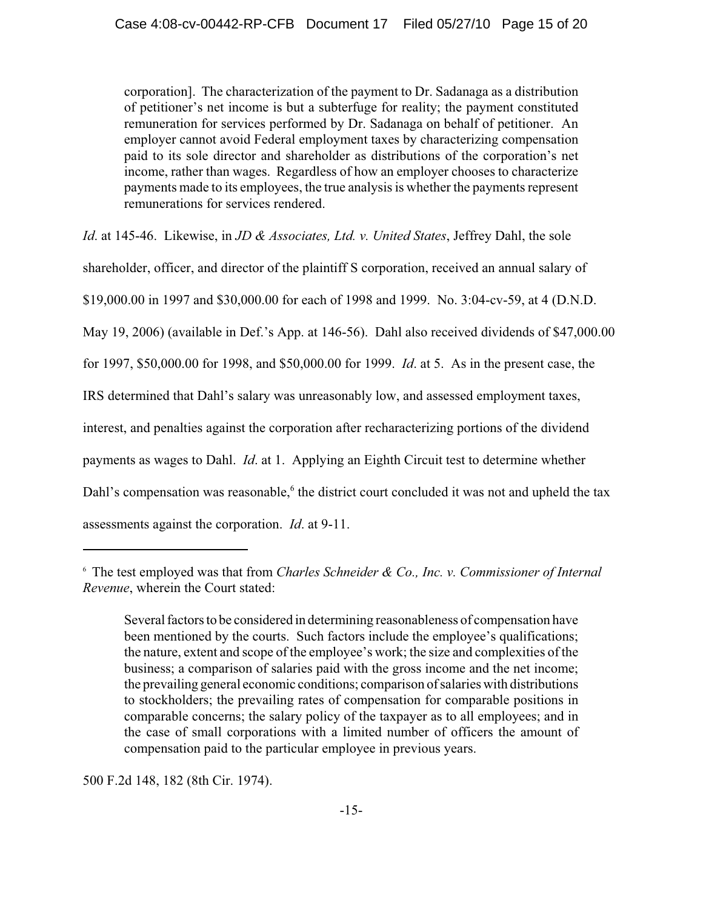corporation]. The characterization of the payment to Dr. Sadanaga as a distribution of petitioner's net income is but a subterfuge for reality; the payment constituted remuneration for services performed by Dr. Sadanaga on behalf of petitioner. An employer cannot avoid Federal employment taxes by characterizing compensation paid to its sole director and shareholder as distributions of the corporation's net income, rather than wages. Regardless of how an employer chooses to characterize payments made to its employees, the true analysis is whether the payments represent remunerations for services rendered.

*Id*. at 145-46. Likewise, in *JD & Associates, Ltd. v. United States*, Jeffrey Dahl, the sole

shareholder, officer, and director of the plaintiff S corporation, received an annual salary of

\$19,000.00 in 1997 and \$30,000.00 for each of 1998 and 1999. No. 3:04-cv-59, at 4 (D.N.D.

May 19, 2006) (available in Def.'s App. at 146-56). Dahl also received dividends of \$47,000.00

for 1997, \$50,000.00 for 1998, and \$50,000.00 for 1999. *Id*. at 5. As in the present case, the

IRS determined that Dahl's salary was unreasonably low, and assessed employment taxes,

interest, and penalties against the corporation after recharacterizing portions of the dividend

payments as wages to Dahl. *Id*. at 1. Applying an Eighth Circuit test to determine whether

Dahl's compensation was reasonable,<sup>6</sup> the district court concluded it was not and upheld the tax

assessments against the corporation. *Id*. at 9-11.

500 F.2d 148, 182 (8th Cir. 1974).

<sup>6</sup> The test employed was that from *Charles Schneider & Co., Inc. v. Commissioner of Internal Revenue*, wherein the Court stated:

Several factors to be considered in determining reasonableness of compensation have been mentioned by the courts. Such factors include the employee's qualifications; the nature, extent and scope of the employee's work; the size and complexities of the business; a comparison of salaries paid with the gross income and the net income; the prevailing general economic conditions; comparison of salaries with distributions to stockholders; the prevailing rates of compensation for comparable positions in comparable concerns; the salary policy of the taxpayer as to all employees; and in the case of small corporations with a limited number of officers the amount of compensation paid to the particular employee in previous years.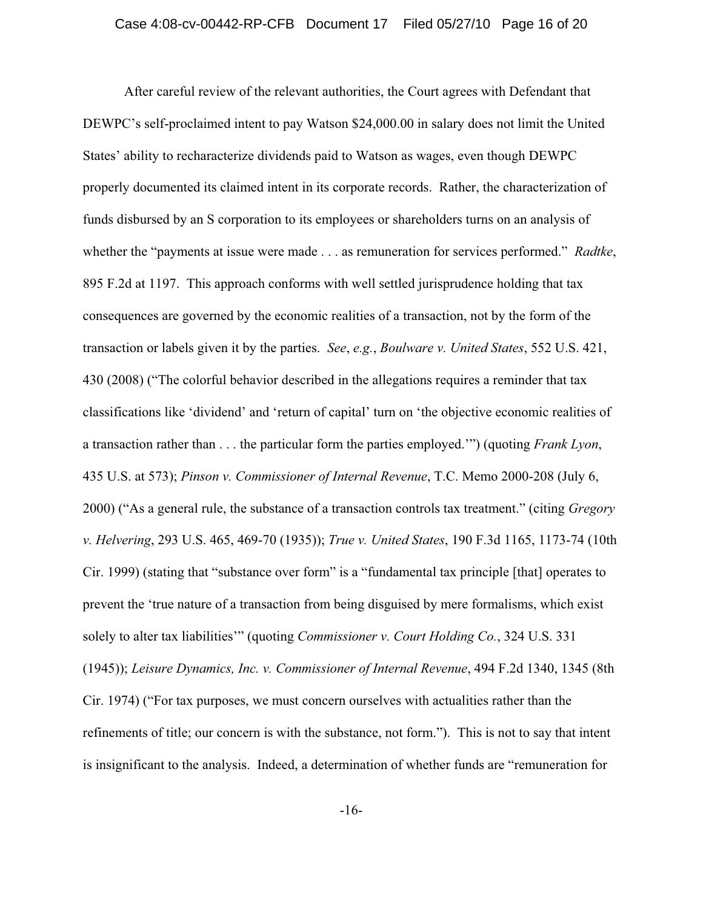#### Case 4:08-cv-00442-RP-CFB Document 17 Filed 05/27/10 Page 16 of 20

After careful review of the relevant authorities, the Court agrees with Defendant that DEWPC's self-proclaimed intent to pay Watson \$24,000.00 in salary does not limit the United States' ability to recharacterize dividends paid to Watson as wages, even though DEWPC properly documented its claimed intent in its corporate records. Rather, the characterization of funds disbursed by an S corporation to its employees or shareholders turns on an analysis of whether the "payments at issue were made . . . as remuneration for services performed." *Radtke*, 895 F.2d at 1197. This approach conforms with well settled jurisprudence holding that tax consequences are governed by the economic realities of a transaction, not by the form of the transaction or labels given it by the parties. *See*, *e.g.*, *Boulware v. United States*, 552 U.S. 421, 430 (2008) ("The colorful behavior described in the allegations requires a reminder that tax classifications like 'dividend' and 'return of capital' turn on 'the objective economic realities of a transaction rather than . . . the particular form the parties employed.'") (quoting *Frank Lyon*, 435 U.S. at 573); *Pinson v. Commissioner of Internal Revenue*, T.C. Memo 2000-208 (July 6, 2000) ("As a general rule, the substance of a transaction controls tax treatment." (citing *Gregory v. Helvering*, 293 U.S. 465, 469-70 (1935)); *True v. United States*, 190 F.3d 1165, 1173-74 (10th Cir. 1999) (stating that "substance over form" is a "fundamental tax principle [that] operates to prevent the 'true nature of a transaction from being disguised by mere formalisms, which exist solely to alter tax liabilities'" (quoting *Commissioner v. Court Holding Co.*, 324 U.S. 331 (1945)); *Leisure Dynamics, Inc. v. Commissioner of Internal Revenue*, 494 F.2d 1340, 1345 (8th Cir. 1974) ("For tax purposes, we must concern ourselves with actualities rather than the refinements of title; our concern is with the substance, not form."). This is not to say that intent is insignificant to the analysis. Indeed, a determination of whether funds are "remuneration for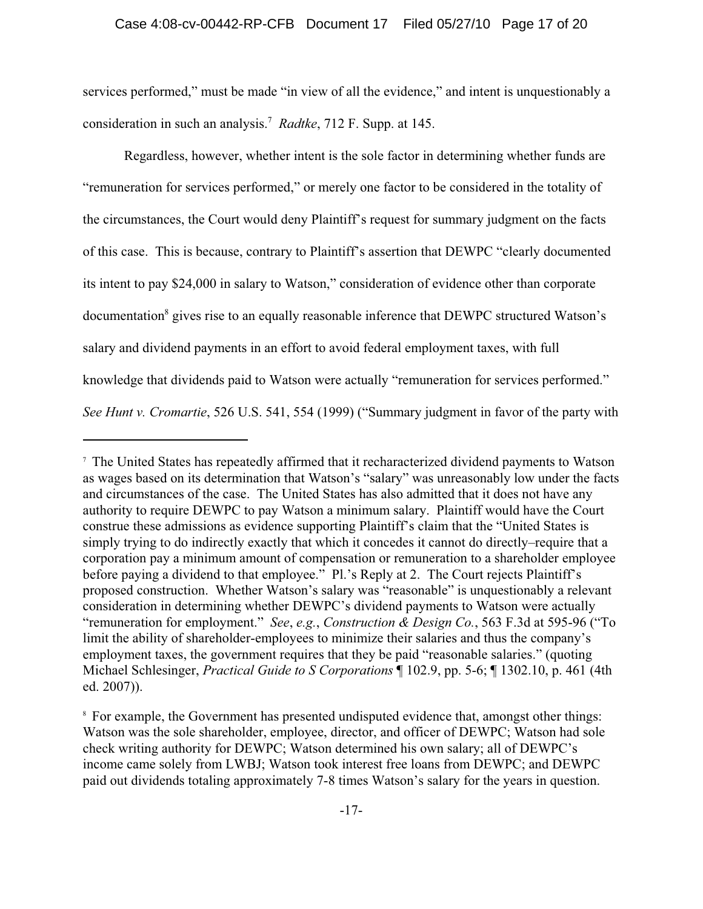#### Case 4:08-cv-00442-RP-CFB Document 17 Filed 05/27/10 Page 17 of 20

services performed," must be made "in view of all the evidence," and intent is unquestionably a consideration in such an analysis.7 *Radtke*, 712 F. Supp. at 145.

Regardless, however, whether intent is the sole factor in determining whether funds are "remuneration for services performed," or merely one factor to be considered in the totality of the circumstances, the Court would deny Plaintiff's request for summary judgment on the facts of this case. This is because, contrary to Plaintiff's assertion that DEWPC "clearly documented its intent to pay \$24,000 in salary to Watson," consideration of evidence other than corporate documentation<sup>8</sup> gives rise to an equally reasonable inference that DEWPC structured Watson's salary and dividend payments in an effort to avoid federal employment taxes, with full knowledge that dividends paid to Watson were actually "remuneration for services performed." *See Hunt v. Cromartie*, 526 U.S. 541, 554 (1999) ("Summary judgment in favor of the party with

<sup>7</sup> The United States has repeatedly affirmed that it recharacterized dividend payments to Watson as wages based on its determination that Watson's "salary" was unreasonably low under the facts and circumstances of the case. The United States has also admitted that it does not have any authority to require DEWPC to pay Watson a minimum salary. Plaintiff would have the Court construe these admissions as evidence supporting Plaintiff's claim that the "United States is simply trying to do indirectly exactly that which it concedes it cannot do directly–require that a corporation pay a minimum amount of compensation or remuneration to a shareholder employee before paying a dividend to that employee." Pl.'s Reply at 2. The Court rejects Plaintiff's proposed construction. Whether Watson's salary was "reasonable" is unquestionably a relevant consideration in determining whether DEWPC's dividend payments to Watson were actually "remuneration for employment." *See*, *e.g.*, *Construction & Design Co.*, 563 F.3d at 595-96 ("To limit the ability of shareholder-employees to minimize their salaries and thus the company's employment taxes, the government requires that they be paid "reasonable salaries." (quoting Michael Schlesinger, *Practical Guide to S Corporations* ¶ 102.9, pp. 5-6; ¶ 1302.10, p. 461 (4th ed. 2007)).

<sup>8</sup> For example, the Government has presented undisputed evidence that, amongst other things: Watson was the sole shareholder, employee, director, and officer of DEWPC; Watson had sole check writing authority for DEWPC; Watson determined his own salary; all of DEWPC's income came solely from LWBJ; Watson took interest free loans from DEWPC; and DEWPC paid out dividends totaling approximately 7-8 times Watson's salary for the years in question.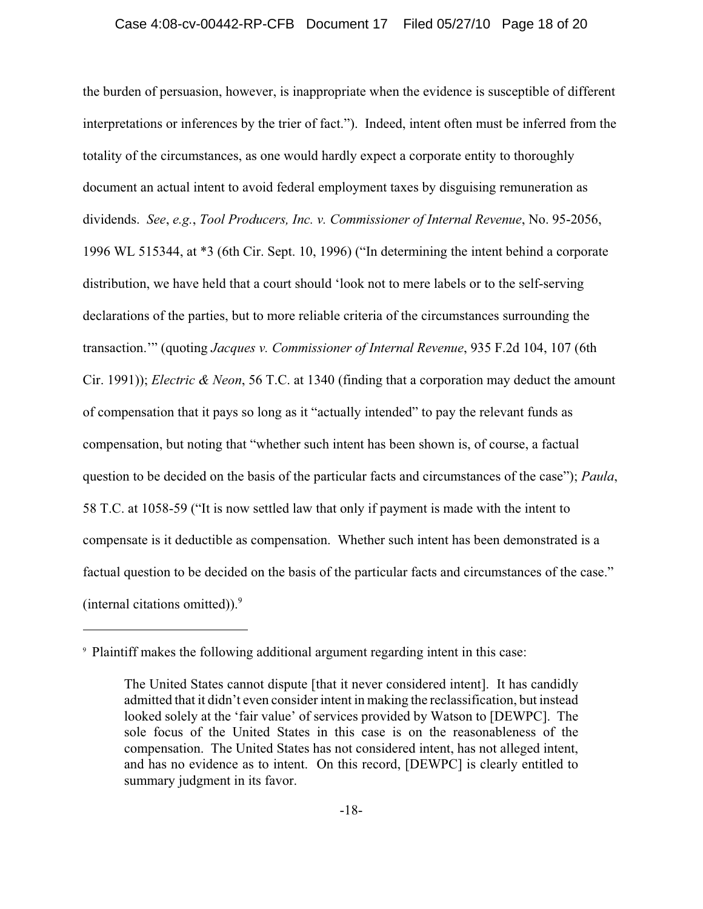#### Case 4:08-cv-00442-RP-CFB Document 17 Filed 05/27/10 Page 18 of 20

the burden of persuasion, however, is inappropriate when the evidence is susceptible of different interpretations or inferences by the trier of fact."). Indeed, intent often must be inferred from the totality of the circumstances, as one would hardly expect a corporate entity to thoroughly document an actual intent to avoid federal employment taxes by disguising remuneration as dividends. *See*, *e.g.*, *Tool Producers, Inc. v. Commissioner of Internal Revenue*, No. 95-2056, 1996 WL 515344, at \*3 (6th Cir. Sept. 10, 1996) ("In determining the intent behind a corporate distribution, we have held that a court should 'look not to mere labels or to the self-serving declarations of the parties, but to more reliable criteria of the circumstances surrounding the transaction.'" (quoting *Jacques v. Commissioner of Internal Revenue*, 935 F.2d 104, 107 (6th Cir. 1991)); *Electric & Neon*, 56 T.C. at 1340 (finding that a corporation may deduct the amount of compensation that it pays so long as it "actually intended" to pay the relevant funds as compensation, but noting that "whether such intent has been shown is, of course, a factual question to be decided on the basis of the particular facts and circumstances of the case"); *Paula*, 58 T.C. at 1058-59 ("It is now settled law that only if payment is made with the intent to compensate is it deductible as compensation. Whether such intent has been demonstrated is a factual question to be decided on the basis of the particular facts and circumstances of the case." (internal citations omitted)). $9$ 

<sup>9</sup> Plaintiff makes the following additional argument regarding intent in this case:

The United States cannot dispute [that it never considered intent]. It has candidly admitted that it didn't even consider intent in making the reclassification, but instead looked solely at the 'fair value' of services provided by Watson to [DEWPC]. The sole focus of the United States in this case is on the reasonableness of the compensation. The United States has not considered intent, has not alleged intent, and has no evidence as to intent. On this record, [DEWPC] is clearly entitled to summary judgment in its favor.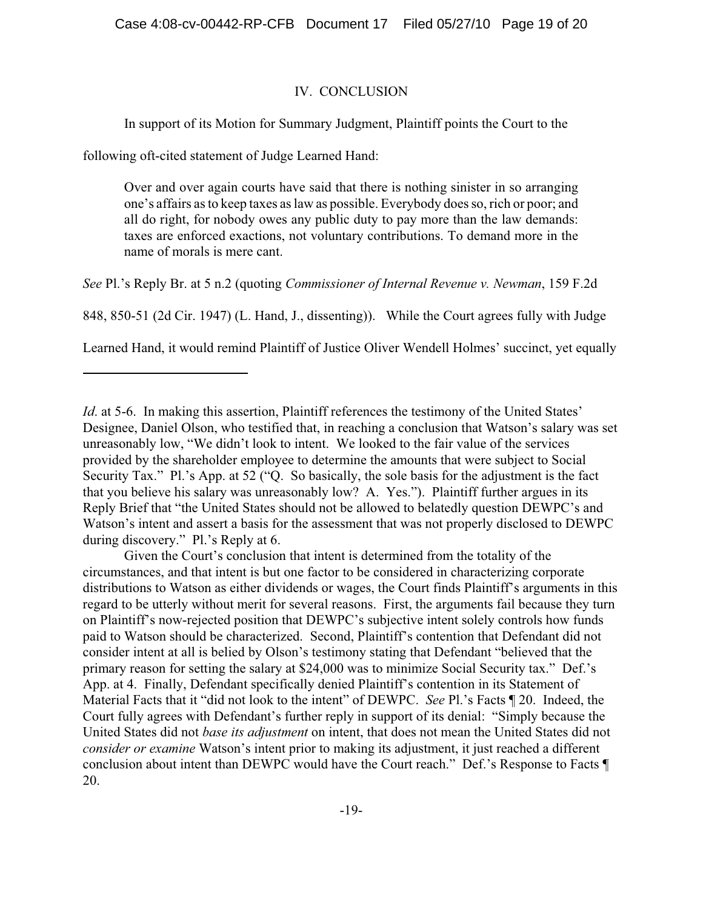### IV. CONCLUSION

In support of its Motion for Summary Judgment, Plaintiff points the Court to the

following oft-cited statement of Judge Learned Hand:

Over and over again courts have said that there is nothing sinister in so arranging one's affairs as to keep taxes as law as possible. Everybody does so, rich or poor; and all do right, for nobody owes any public duty to pay more than the law demands: taxes are enforced exactions, not voluntary contributions. To demand more in the name of morals is mere cant.

*See* Pl.'s Reply Br. at 5 n.2 (quoting *Commissioner of Internal Revenue v. Newman*, 159 F.2d

848, 850-51 (2d Cir. 1947) (L. Hand, J., dissenting)). While the Court agrees fully with Judge

Learned Hand, it would remind Plaintiff of Justice Oliver Wendell Holmes' succinct, yet equally

Given the Court's conclusion that intent is determined from the totality of the circumstances, and that intent is but one factor to be considered in characterizing corporate distributions to Watson as either dividends or wages, the Court finds Plaintiff's arguments in this regard to be utterly without merit for several reasons. First, the arguments fail because they turn on Plaintiff's now-rejected position that DEWPC's subjective intent solely controls how funds paid to Watson should be characterized. Second, Plaintiff's contention that Defendant did not consider intent at all is belied by Olson's testimony stating that Defendant "believed that the primary reason for setting the salary at \$24,000 was to minimize Social Security tax." Def.'s App. at 4. Finally, Defendant specifically denied Plaintiff's contention in its Statement of Material Facts that it "did not look to the intent" of DEWPC. *See* Pl.'s Facts ¶ 20. Indeed, the Court fully agrees with Defendant's further reply in support of its denial: "Simply because the United States did not *base its adjustment* on intent, that does not mean the United States did not *consider or examine* Watson's intent prior to making its adjustment, it just reached a different conclusion about intent than DEWPC would have the Court reach." Def.'s Response to Facts ¶ 20.

*Id.* at 5-6. In making this assertion, Plaintiff references the testimony of the United States' Designee, Daniel Olson, who testified that, in reaching a conclusion that Watson's salary was set unreasonably low, "We didn't look to intent. We looked to the fair value of the services provided by the shareholder employee to determine the amounts that were subject to Social Security Tax." Pl.'s App. at 52 ("Q. So basically, the sole basis for the adjustment is the fact that you believe his salary was unreasonably low? A. Yes."). Plaintiff further argues in its Reply Brief that "the United States should not be allowed to belatedly question DEWPC's and Watson's intent and assert a basis for the assessment that was not properly disclosed to DEWPC during discovery." Pl.'s Reply at 6.